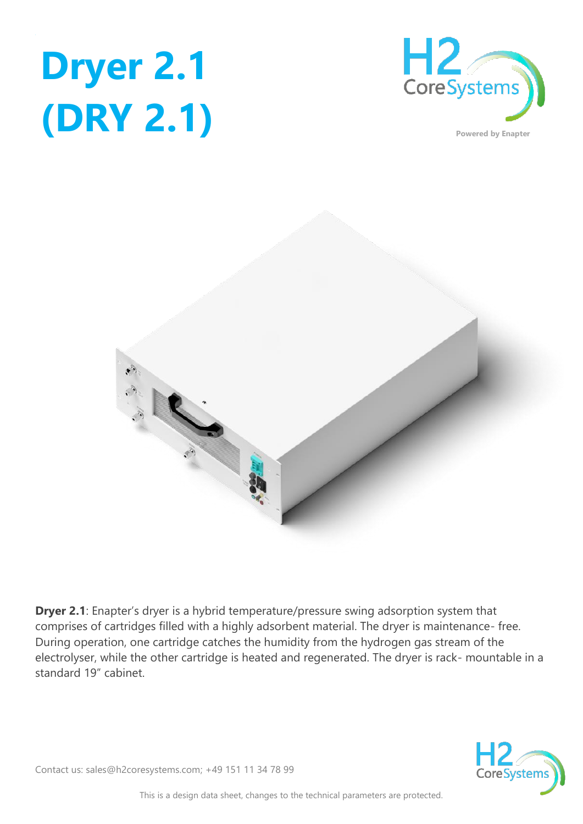





**Dryer 2.1**: Enapter's dryer is a hybrid temperature/pressure swing adsorption system that comprises of cartridges filled with a highly adsorbent material. The dryer is maintenance- free. During operation, one cartridge catches the humidity from the hydrogen gas stream of the electrolyser, while the other cartridge is heated and regenerated. The dryer is rack- mountable in a standard 19" cabinet.



Contact us: sales@h2coresystems.com; +49 151 11 34 78 99